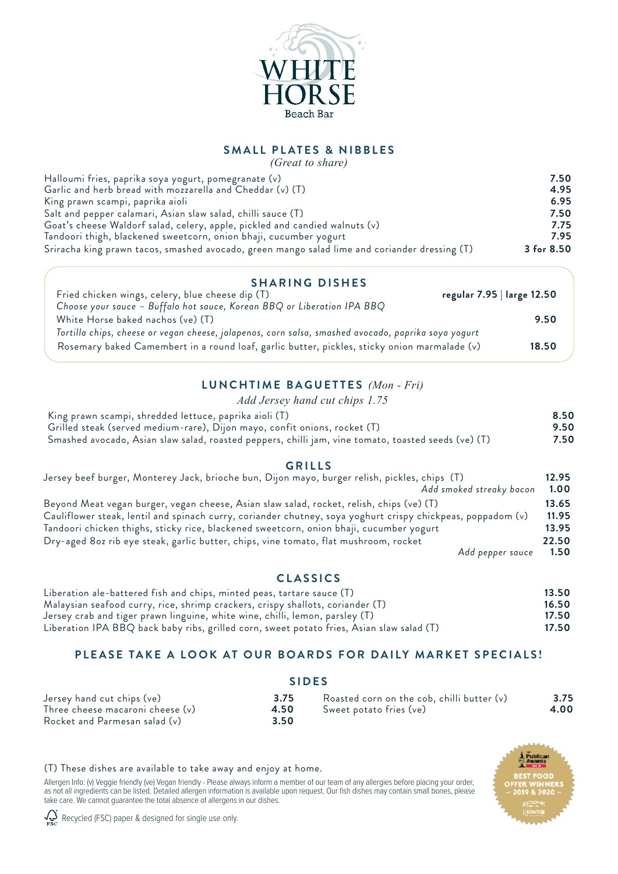

### **SMALL PLATES & NIBBLES** *(Great to share)*

| (Great to share)                                                                              |            |
|-----------------------------------------------------------------------------------------------|------------|
| Halloumi fries, paprika soya yogurt, pomegranate (v)                                          | 7.50       |
| Garlic and herb bread with mozzarella and Cheddar (v) (T)                                     | 4.95       |
| King prawn scampi, paprika aioli                                                              | 6.95       |
| Salt and pepper calamari, Asian slaw salad, chilli sauce (T)                                  | 7.50       |
| Goat's cheese Waldorf salad, celery, apple, pickled and candied walnuts (v)                   | 7.75       |
| Tandoori thigh, blackened sweetcorn, onion bhaji, cucumber yogurt                             | 7.95       |
| Sriracha king prawn tacos, smashed avocado, green mango salad lime and coriander dressing (T) | 3 for 8.50 |

### **SHARING DISHES**

| Fried chicken wings, celery, blue cheese dip (T)<br>Choose your sauce - Buffalo hot sauce, Korean BBQ or Liberation IPA BBQ                                                                         | regular 7.95   large 12.50 |
|-----------------------------------------------------------------------------------------------------------------------------------------------------------------------------------------------------|----------------------------|
| White Horse baked nachos (ve) (T)                                                                                                                                                                   | 9.50                       |
| Tortilla chips, cheese or vegan cheese, jalapenos, corn salsa, smashed avocado, paprika soya yogurt<br>Rosemary baked Camembert in a round loaf, garlic butter, pickles, sticky onion marmalade (v) | 18.50                      |

### **LUNCHTIME BAGUETTES** *(Mon - Fri)*

*Add Jersey hand cut chips 1.75*

| King prawn scampi, shredded lettuce, paprika aioli (T)                                              | 8.50 |
|-----------------------------------------------------------------------------------------------------|------|
| Grilled steak (served medium-rare), Dijon mayo, confit onions, rocket (T)                           | 9.50 |
| Smashed avocado, Asian slaw salad, roasted peppers, chilli jam, vine tomato, toasted seeds (ve) (T) | 7.50 |

### **GRILLS**

| Jersey beef burger, Monterey Jack, brioche bun, Dijon mayo, burger relish, pickles, chips (T)               | 12.95 |
|-------------------------------------------------------------------------------------------------------------|-------|
| Add smoked streaky bacon                                                                                    | 1.00  |
| Beyond Meat vegan burger, vegan cheese, Asian slaw salad, rocket, relish, chips (ve) (T)                    | 13.65 |
| Cauliflower steak, lentil and spinach curry, coriander chutney, soya yoghurt crispy chickpeas, poppadom (v) | 11.95 |
| Tandoori chicken thighs, sticky rice, blackened sweetcorn, onion bhaji, cucumber yogurt                     | 13.95 |
| Dry-aged 80z rib eye steak, garlic butter, chips, vine tomato, flat mushroom, rocket                        | 22.50 |
| Add pepper sauce                                                                                            | 1.50  |

### **CLASSICS**

| Liberation ale-battered fish and chips, minted peas, tartare sauce (T)                    | 13.50 |
|-------------------------------------------------------------------------------------------|-------|
| Malaysian seafood curry, rice, shrimp crackers, crispy shallots, coriander (T)            | 16.50 |
| Jersey crab and tiger prawn linguine, white wine, chilli, lemon, parsley (T)              | 17.50 |
| Liberation IPA BBQ back baby ribs, grilled corn, sweet potato fries, Asian slaw salad (T) | 17.50 |

## **PLEASE TAKE A LOOK AT OUR BOARDS FOR DAILY MARKET SPECIALS!**

#### **SIDES** Jersey hand cut chips (ve) **3.75** Three cheese macaroni cheese (v) **4.50**<br>Rocket and Parmesan salad (v) **4.50** Rocket and Parmesan salad (v) **3.50** Roasted corn on the cob, chilli butter (v) **3.75** Sweet potato fries (ve)

### (T) These dishes are available to take away and enjoy at home.

Allergen Info: (v) Veggie friendly (ve) Vegan friendly - Please always inform a member of our team of any allergies before placing your order, as not all ingredients can be listed. Detailed allergen information is available upon request. Our fish dishes may contain small bones, please take care. We cannot guarantee the total absence of allergens in our dishes.

 $\bigvee$  Recycled (FSC) paper & designed for single use only.